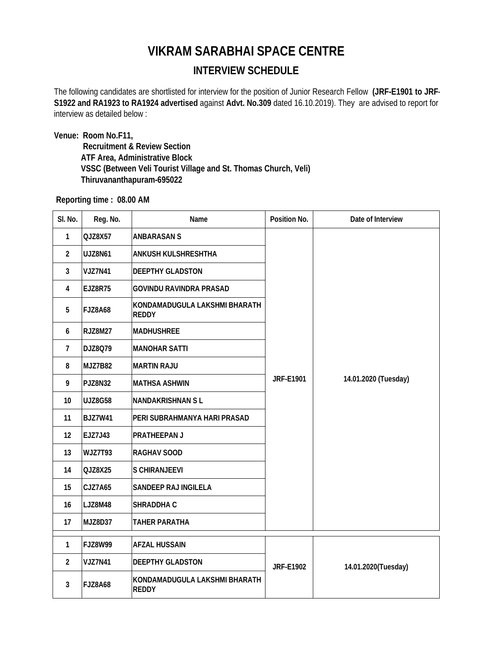## **VIKRAM SARABHAI SPACE CENTRE**

## **INTERVIEW SCHEDULE**

The following candidates are shortlisted for interview for the position of Junior Research Fellow **(JRF-E1901 to JRF-S1922 and RA1923 to RA1924 advertised** against **Advt. No.309** dated 16.10.2019). They are advised to report for interview as detailed below :

**Venue: Room No.F11,** 

 **Recruitment & Review Section ATF Area, Administrative Block VSSC (Between Veli Tourist Village and St. Thomas Church, Veli) Thiruvananthapuram-695022**

 **Reporting time : 08.00 AM**

| SI. No.        | Reg. No.       | Name                                          | Position No.     | Date of Interview    |
|----------------|----------------|-----------------------------------------------|------------------|----------------------|
| 1              | QJZ8X57        | <b>ANBARASAN S</b>                            |                  | 14.01.2020 (Tuesday) |
| $\overline{2}$ | <b>UJZ8N61</b> | ANKUSH KULSHRESHTHA                           |                  |                      |
| 3              | <b>VJZ7N41</b> | <b>DEEPTHY GLADSTON</b>                       |                  |                      |
| 4              | <b>EJZ8R75</b> | <b>GOVINDU RAVINDRA PRASAD</b>                |                  |                      |
| 5              | <b>FJZ8A68</b> | KONDAMADUGULA LAKSHMI BHARATH<br><b>REDDY</b> |                  |                      |
| 6              | <b>RJZ8M27</b> | <b>MADHUSHREE</b>                             |                  |                      |
| 7              | DJZ8Q79        | <b>MANOHAR SATTI</b>                          |                  |                      |
| 8              | <b>MJZ7B82</b> | <b>MARTIN RAJU</b>                            |                  |                      |
| 9              | <b>PJZ8N32</b> | <b>MATHSA ASHWIN</b>                          | <b>JRF-E1901</b> |                      |
| 10             | <b>UJZ8G58</b> | <b>NANDAKRISHNAN SL</b>                       |                  |                      |
| 11             | <b>BJZ7W41</b> | PERI SUBRAHMANYA HARI PRASAD                  |                  |                      |
| 12             | EJZ7J43        | PRATHEEPAN J                                  |                  |                      |
| 13             | <b>WJZ7T93</b> | <b>RAGHAV SOOD</b>                            |                  |                      |
| 14             | QJZ8X25        | <b>S CHIRANJEEVI</b>                          |                  |                      |
| 15             | CJZ7A65        | SANDEEP RAJ INGILELA                          |                  |                      |
| 16             | <b>LJZ8M48</b> | SHRADDHA C                                    |                  |                      |
| 17             | <b>MJZ8D37</b> | <b>TAHER PARATHA</b>                          |                  |                      |
| 1              | <b>FJZ8W99</b> | <b>AFZAL HUSSAIN</b>                          |                  |                      |
| $\overline{2}$ | <b>VJZ7N41</b> | <b>DEEPTHY GLADSTON</b>                       | <b>JRF-E1902</b> | 14.01.2020(Tuesday)  |
| 3              | <b>FJZ8A68</b> | KONDAMADUGULA LAKSHMI BHARATH<br><b>REDDY</b> |                  |                      |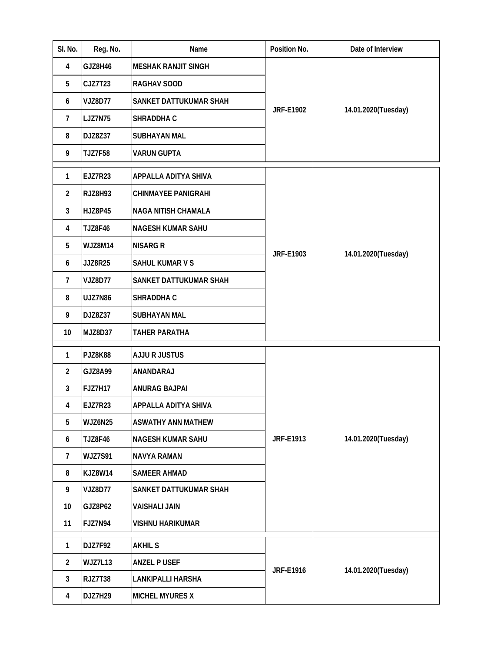| SI. No.        | Reg. No.       | Name                          | Position No.     | Date of Interview   |
|----------------|----------------|-------------------------------|------------------|---------------------|
| 4              | GJZ8H46        | <b>MESHAK RANJIT SINGH</b>    |                  | 14.01.2020(Tuesday) |
| 5              | CJZ7T23        | RAGHAV SOOD                   |                  |                     |
| 6              | <b>VJZ8D77</b> | <b>SANKET DATTUKUMAR SHAH</b> |                  |                     |
| $\overline{7}$ | <b>LJZ7N75</b> | SHRADDHA C                    | <b>JRF-E1902</b> |                     |
| 8              | DJZ8Z37        | <b>SUBHAYAN MAL</b>           |                  |                     |
| 9              | <b>TJZ7F58</b> | <b>VARUN GUPTA</b>            |                  |                     |
| 1              | <b>EJZ7R23</b> | <b>APPALLA ADITYA SHIVA</b>   |                  |                     |
| $\overline{2}$ | <b>RJZ8H93</b> | <b>CHINMAYEE PANIGRAHI</b>    |                  |                     |
| 3              | <b>HJZ8P45</b> | NAGA NITISH CHAMALA           |                  |                     |
| 4              | <b>TJZ8F46</b> | <b>NAGESH KUMAR SAHU</b>      |                  |                     |
| 5              | WJZ8M14        | <b>NISARG R</b>               | <b>JRF-E1903</b> |                     |
| 6              | JJZ8R25        | <b>SAHUL KUMAR V S</b>        |                  | 14.01.2020(Tuesday) |
| $\overline{7}$ | <b>VJZ8D77</b> | SANKET DATTUKUMAR SHAH        |                  |                     |
| 8              | <b>UJZ7N86</b> | SHRADDHA C                    |                  |                     |
| 9              | DJZ8Z37        | <b>SUBHAYAN MAL</b>           |                  |                     |
| 10             | <b>MJZ8D37</b> | <b>TAHER PARATHA</b>          |                  |                     |
| $\mathbf{1}$   | PJZ8K88        | <b>AJJU R JUSTUS</b>          |                  |                     |
| $\overline{2}$ | GJZ8A99        | ANANDARAJ                     |                  |                     |
| 3              | <b>FJZ7H17</b> | <b>ANURAG BAJPAI</b>          |                  |                     |
| 4              | <b>EJZ7R23</b> | <b>APPALLA ADITYA SHIVA</b>   |                  |                     |
| 5              | WJZ6N25        | <b>ASWATHY ANN MATHEW</b>     |                  |                     |
| 6              | <b>TJZ8F46</b> | <b>NAGESH KUMAR SAHU</b>      | <b>JRF-E1913</b> | 14.01.2020(Tuesday) |
| $\overline{7}$ | <b>WJZ7S91</b> | <b>NAVYA RAMAN</b>            |                  |                     |
| 8              | <b>KJZ8W14</b> | <b>SAMEER AHMAD</b>           |                  |                     |
| 9              | <b>VJZ8D77</b> | SANKET DATTUKUMAR SHAH        |                  |                     |
| 10             | GJZ8P62        | <b>VAISHALI JAIN</b>          |                  |                     |
| 11             | <b>FJZ7N94</b> | <b>VISHNU HARIKUMAR</b>       |                  |                     |
| 1              | DJZ7F92        | <b>AKHIL S</b>                |                  |                     |
| $\overline{2}$ | WJZ7L13        | <b>ANZEL PUSEF</b>            | <b>JRF-E1916</b> | 14.01.2020(Tuesday) |
| 3              | <b>RJZ7T38</b> | LANKIPALLI HARSHA             |                  |                     |
| 4              | DJZ7H29        | <b>MICHEL MYURES X</b>        |                  |                     |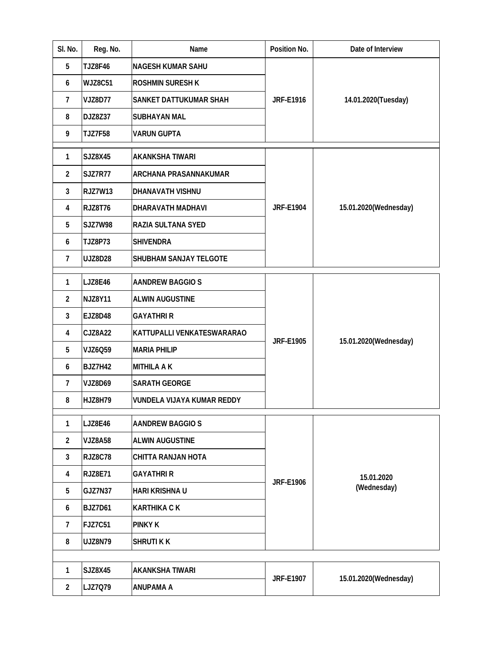| SI. No.        | Reg. No.       | Name                       | Position No.     | Date of Interview         |
|----------------|----------------|----------------------------|------------------|---------------------------|
| 5              | <b>TJZ8F46</b> | <b>NAGESH KUMAR SAHU</b>   |                  | 14.01.2020(Tuesday)       |
| 6              | <b>WJZ8C51</b> | <b>ROSHMIN SURESH K</b>    |                  |                           |
| 7              | <b>VJZ8D77</b> | SANKET DATTUKUMAR SHAH     | <b>JRF-E1916</b> |                           |
| 8              | DJZ8Z37        | <b>SUBHAYAN MAL</b>        |                  |                           |
| 9              | <b>TJZ7F58</b> | <b>VARUN GUPTA</b>         |                  |                           |
| 1              | SJZ8X45        | <b>AKANKSHA TIWARI</b>     |                  |                           |
| $\overline{2}$ | <b>SJZ7R77</b> | ARCHANA PRASANNAKUMAR      |                  |                           |
| 3              | <b>RJZ7W13</b> | DHANAVATH VISHNU           |                  |                           |
| 4              | <b>RJZ8T76</b> | DHARAVATH MADHAVI          | <b>JRF-E1904</b> | 15.01.2020(Wednesday)     |
| 5              | <b>SJZ7W98</b> | RAZIA SULTANA SYED         |                  |                           |
| 6              | <b>TJZ8P73</b> | <b>SHIVENDRA</b>           |                  |                           |
| 7              | <b>UJZ8D28</b> | SHUBHAM SANJAY TELGOTE     |                  |                           |
| 1              | <b>LJZ8E46</b> | <b>AANDREW BAGGIO S</b>    |                  | 15.01.2020(Wednesday)     |
| $\overline{2}$ | <b>NJZ8Y11</b> | <b>ALWIN AUGUSTINE</b>     |                  |                           |
| 3              | <b>EJZ8D48</b> | <b>GAYATHRI R</b>          |                  |                           |
| 4              | CJZ8A22        | KATTUPALLI VENKATESWARARAO |                  |                           |
| 5              | VJZ6Q59        | <b>MARIA PHILIP</b>        | <b>JRF-E1905</b> |                           |
| 6              | <b>BJZ7H42</b> | <b>MITHILA A K</b>         |                  |                           |
| 7              | <b>VJZ8D69</b> | <b>SARATH GEORGE</b>       |                  |                           |
| 8              | HJZ8H79        | VUNDELA VIJAYA KUMAR REDDY |                  |                           |
| 1              | LJZ8E46        | <b>AANDREW BAGGIO S</b>    |                  |                           |
| $\overline{2}$ | <b>VJZ8A58</b> | <b>ALWIN AUGUSTINE</b>     |                  | 15.01.2020<br>(Wednesday) |
| 3              | <b>RJZ8C78</b> | CHITTA RANJAN HOTA         |                  |                           |
| 4              | <b>RJZ8E71</b> | <b>GAYATHRIR</b>           |                  |                           |
| 5              | <b>GJZ7N37</b> | <b>HARI KRISHNA U</b>      | <b>JRF-E1906</b> |                           |
| 6              | <b>BJZ7D61</b> | <b>KARTHIKA C K</b>        |                  |                           |
| $\overline{7}$ | FJZ7C51        | <b>PINKY K</b>             |                  |                           |
| 8              | <b>UJZ8N79</b> | <b>SHRUTIKK</b>            |                  |                           |
|                |                |                            |                  |                           |
| $\mathbf{1}$   | SJZ8X45        | <b>AKANKSHA TIWARI</b>     | <b>JRF-E1907</b> | 15.01.2020(Wednesday)     |
| $\overline{2}$ | LJZ7Q79        | <b>ANUPAMA A</b>           |                  |                           |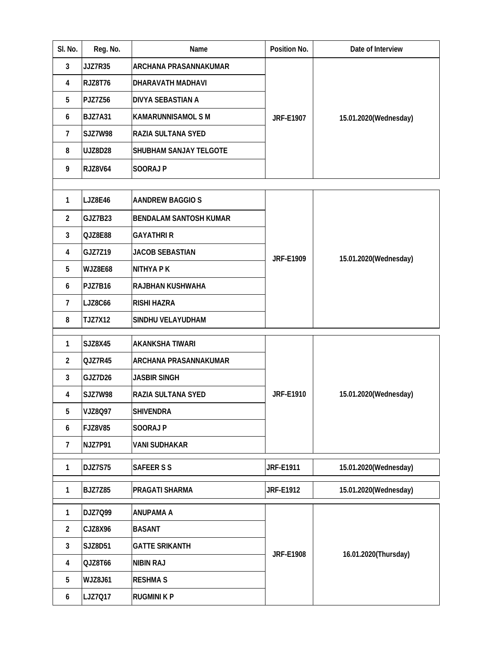| SI. No.        | Reg. No.       | Name                          | Position No.     | Date of Interview     |
|----------------|----------------|-------------------------------|------------------|-----------------------|
| 3              | JJZ7R35        | <b>ARCHANA PRASANNAKUMAR</b>  |                  | 15.01.2020(Wednesday) |
| 4              | <b>RJZ8T76</b> | DHARAVATH MADHAVI             |                  |                       |
| 5              | PJZ7Z56        | <b>DIVYA SEBASTIAN A</b>      |                  |                       |
| 6              | <b>BJZ7A31</b> | <b>KAMARUNNISAMOL S M</b>     | <b>JRF-E1907</b> |                       |
| 7              | <b>SJZ7W98</b> | RAZIA SULTANA SYED            |                  |                       |
| 8              | <b>UJZ8D28</b> | SHUBHAM SANJAY TELGOTE        |                  |                       |
| 9              | <b>RJZ8V64</b> | <b>SOORAJ P</b>               |                  |                       |
|                |                |                               |                  |                       |
| 1              | LJZ8E46        | <b>AANDREW BAGGIO S</b>       |                  |                       |
| $\overline{2}$ | <b>GJZ7B23</b> | <b>BENDALAM SANTOSH KUMAR</b> |                  |                       |
| 3              | QJZ8E88        | <b>GAYATHRIR</b>              |                  |                       |
| 4              | GJZ7Z19        | <b>JACOB SEBASTIAN</b>        | <b>JRF-E1909</b> | 15.01.2020(Wednesday) |
| 5              | WJZ8E68        | <b>NITHYA P K</b>             |                  |                       |
| 6              | <b>PJZ7B16</b> | RAJBHAN KUSHWAHA              |                  |                       |
| $\overline{7}$ | <b>LJZ8C66</b> | <b>RISHI HAZRA</b>            |                  |                       |
| 8              | <b>TJZ7X12</b> | SINDHU VELAYUDHAM             |                  |                       |
| 1              | SJZ8X45        | <b>AKANKSHA TIWARI</b>        |                  |                       |
| $\overline{2}$ | QJZ7R45        | ARCHANA PRASANNAKUMAR         |                  |                       |
| 3              | GJZ7D26        | <b>JASBIR SINGH</b>           |                  |                       |
| 4              | <b>SJZ7W98</b> | RAZIA SULTANA SYED            | <b>JRF-E1910</b> | 15.01.2020(Wednesday) |
| 5              | VJZ8Q97        | <b>SHIVENDRA</b>              |                  |                       |
| 6              | <b>FJZ8V85</b> | SOORAJ P                      |                  |                       |
| 7              | NJZ7P91        | VANI SUDHAKAR                 |                  |                       |
| 1              | <b>DJZ7S75</b> | <b>SAFEER S S</b>             | <b>JRF-E1911</b> | 15.01.2020(Wednesday) |
| 1              | <b>BJZ7Z85</b> | PRAGATI SHARMA                | <b>JRF-E1912</b> | 15.01.2020(Wednesday) |
| 1              | DJZ7Q99        | <b>ANUPAMA A</b>              |                  |                       |
| $\overline{2}$ | CJZ8X96        | <b>BASANT</b>                 |                  | 16.01.2020(Thursday)  |
| 3              | SJZ8D51        | <b>GATTE SRIKANTH</b>         |                  |                       |
| 4              | QJZ8T66        | <b>NIBIN RAJ</b>              | <b>JRF-E1908</b> |                       |
| 5              | <b>WJZ8J61</b> | <b>RESHMA S</b>               |                  |                       |
| 6              | LJZ7Q17        | <b>RUGMINI K P</b>            |                  |                       |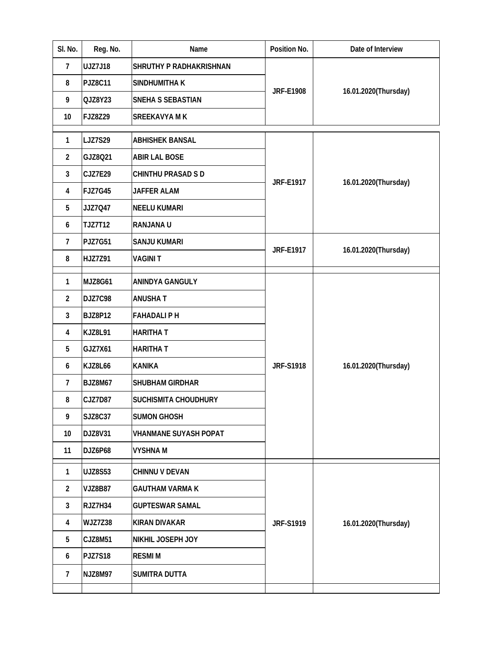| SI. No.        | Reg. No.       | Name                           | Position No.     | Date of Interview    |
|----------------|----------------|--------------------------------|------------------|----------------------|
| 7              | UJZ7J18        | <b>SHRUTHY P RADHAKRISHNAN</b> |                  | 16.01.2020(Thursday) |
| 8              | <b>PJZ8C11</b> | SINDHUMITHA K                  |                  |                      |
| 9              | QJZ8Y23        | SNEHA S SEBASTIAN              | <b>JRF-E1908</b> |                      |
| 10             | FJZ8Z29        | <b>SREEKAVYA MK</b>            |                  |                      |
| $\mathbf{1}$   | <b>LJZ7S29</b> | <b>ABHISHEK BANSAL</b>         |                  |                      |
| $\overline{2}$ | GJZ8Q21        | <b>ABIR LAL BOSE</b>           |                  |                      |
| 3              | CJZ7E29        | <b>CHINTHU PRASAD S D</b>      |                  |                      |
| 4              | <b>FJZ7G45</b> | <b>JAFFER ALAM</b>             | <b>JRF-E1917</b> | 16.01.2020(Thursday) |
| 5              | JJZ7Q47        | <b>NEELU KUMARI</b>            |                  |                      |
| 6              | <b>TJZ7T12</b> | <b>RANJANA U</b>               |                  |                      |
| $\overline{7}$ | <b>PJZ7G51</b> | SANJU KUMARI                   | <b>JRF-E1917</b> |                      |
| 8              | HJZ7Z91        | <b>VAGINIT</b>                 |                  | 16.01.2020(Thursday) |
| 1              | MJZ8G61        | ANINDYA GANGULY                |                  |                      |
| $\overline{2}$ | DJZ7C98        | <b>ANUSHAT</b>                 |                  | 16.01.2020(Thursday) |
| 3              | <b>BJZ8P12</b> | <b>FAHADALI P H</b>            |                  |                      |
| 4              | <b>KJZ8L91</b> | <b>HARITHA T</b>               |                  |                      |
| 5              | GJZ7X61        | <b>HARITHAT</b>                |                  |                      |
| 6              | KJZ8L66        | <b>KANIKA</b>                  | <b>JRF-S1918</b> |                      |
| $\overline{1}$ | <b>BJZ8M67</b> | SHUBHAM GIRDHAR                |                  |                      |
| 8              | CJZ7D87        | <b>SUCHISMITA CHOUDHURY</b>    |                  |                      |
| 9              | SJZ8C37        | <b>SUMON GHOSH</b>             |                  |                      |
| 10             | DJZ8V31        | <b>VHANMANE SUYASH POPAT</b>   |                  |                      |
| 11             | DJZ6P68        | <b>VYSHNAM</b>                 |                  |                      |
| 1              | UJZ8S53        | CHINNU V DEVAN                 |                  | 16.01.2020(Thursday) |
| $\overline{2}$ | <b>VJZ8B87</b> | <b>GAUTHAM VARMA K</b>         |                  |                      |
| 3              | RJZ7H34        | <b>GUPTESWAR SAMAL</b>         |                  |                      |
| 4              | <b>WJZ7Z38</b> | <b>KIRAN DIVAKAR</b>           | <b>JRF-S1919</b> |                      |
| 5              | CJZ8M51        | NIKHIL JOSEPH JOY              |                  |                      |
| 6              | <b>PJZ7S18</b> | <b>RESMIM</b>                  |                  |                      |
| 7              | <b>NJZ8M97</b> | <b>SUMITRA DUTTA</b>           |                  |                      |
|                |                |                                |                  |                      |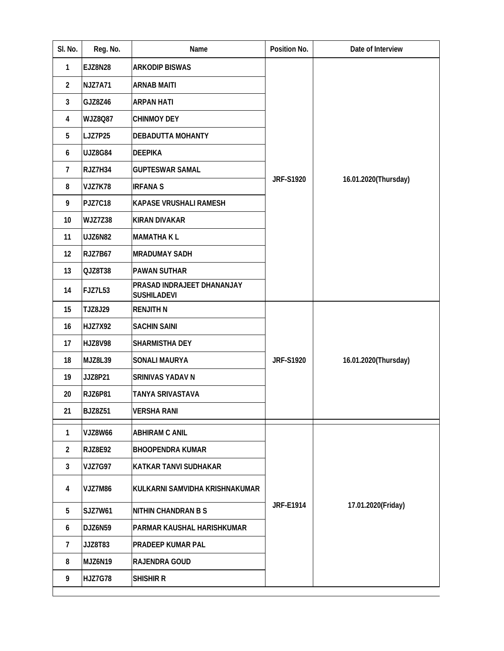| SI. No.        | Reg. No.       | Name                                             | Position No.     | Date of Interview    |
|----------------|----------------|--------------------------------------------------|------------------|----------------------|
| 1              | <b>EJZ8N28</b> | <b>ARKODIP BISWAS</b>                            |                  |                      |
| $\overline{2}$ | <b>NJZ7A71</b> | <b>ARNAB MAITI</b>                               |                  |                      |
| 3              | GJZ8Z46        | <b>ARPAN HATI</b>                                |                  |                      |
| 4              | WJZ8Q87        | <b>CHINMOY DEY</b>                               |                  |                      |
| 5              | <b>LJZ7P25</b> | <b>DEBADUTTA MOHANTY</b>                         |                  |                      |
| 6              | <b>UJZ8G84</b> | <b>DEEPIKA</b>                                   |                  |                      |
| 7              | RJZ7H34        | <b>GUPTESWAR SAMAL</b>                           |                  |                      |
| 8              | <b>VJZ7K78</b> | <b>IRFANA S</b>                                  | <b>JRF-S1920</b> | 16.01.2020(Thursday) |
| 9              | <b>PJZ7C18</b> | <b>KAPASE VRUSHALI RAMESH</b>                    |                  |                      |
| 10             | <b>WJZ7Z38</b> | <b>KIRAN DIVAKAR</b>                             |                  |                      |
| 11             | <b>UJZ6N82</b> | <b>MAMATHAKL</b>                                 |                  |                      |
| 12             | <b>RJZ7B67</b> | <b>MRADUMAY SADH</b>                             |                  |                      |
| 13             | QJZ8T38        | <b>PAWAN SUTHAR</b>                              |                  |                      |
| 14             | <b>FJZ7L53</b> | PRASAD INDRAJEET DHANANJAY<br><b>SUSHILADEVI</b> |                  |                      |
| 15             | TJZ8J29        | <b>RENJITH N</b>                                 |                  | 16.01.2020(Thursday) |
| 16             | HJZ7X92        | <b>SACHIN SAINI</b>                              |                  |                      |
| 17             | HJZ8V98        | <b>SHARMISTHA DEY</b>                            |                  |                      |
| 18             | <b>MJZ8L39</b> | <b>SONALI MAURYA</b>                             | <b>JRF-S1920</b> |                      |
| 19             | JJZ8P21        | SRINIVAS YADAV N                                 |                  |                      |
| 20             | RJZ6P81        | TANYA SRIVASTAVA                                 |                  |                      |
| 21             | <b>BJZ8Z51</b> | <b>VERSHA RANI</b>                               |                  |                      |
| 1              | <b>VJZ8W66</b> | <b>ABHIRAM C ANIL</b>                            |                  | 17.01.2020(Friday)   |
| $\overline{2}$ | <b>RJZ8E92</b> | <b>BHOOPENDRA KUMAR</b>                          |                  |                      |
| 3              | <b>VJZ7G97</b> | KATKAR TANVI SUDHAKAR                            |                  |                      |
| 4              | <b>VJZ7M86</b> | KULKARNI SAMVIDHA KRISHNAKUMAR                   |                  |                      |
| 5              | SJZ7W61        | <b>NITHIN CHANDRAN B S</b>                       | <b>JRF-E1914</b> |                      |
| 6              | <b>DJZ6N59</b> | PARMAR KAUSHAL HARISHKUMAR                       |                  |                      |
| 7              | JJZ8T83        | PRADEEP KUMAR PAL                                |                  |                      |
| 8              | MJZ6N19        | RAJENDRA GOUD                                    |                  |                      |
| 9              | HJZ7G78        | <b>SHISHIR R</b>                                 |                  |                      |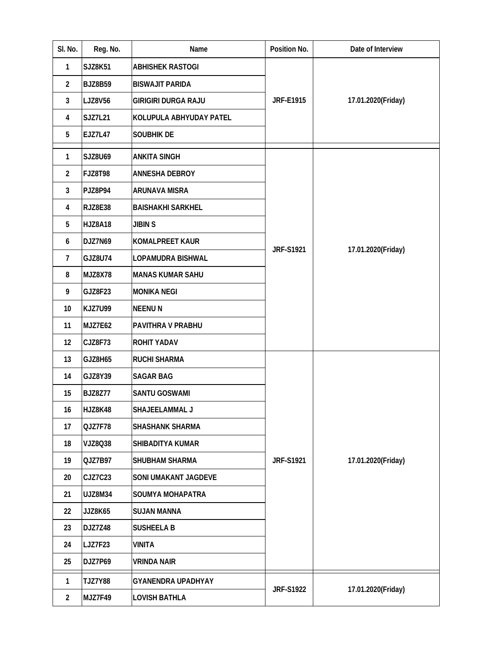| SI. No.        | Reg. No.       | Name                        | Position No.     | Date of Interview  |
|----------------|----------------|-----------------------------|------------------|--------------------|
| 1              | <b>SJZ8K51</b> | <b>ABHISHEK RASTOGI</b>     |                  | 17.01.2020(Friday) |
| $\overline{2}$ | <b>BJZ8B59</b> | <b>BISWAJIT PARIDA</b>      |                  |                    |
| 3              | LJZ8V56        | <b>GIRIGIRI DURGA RAJU</b>  | <b>JRF-E1915</b> |                    |
| 4              | SJZ7L21        | KOLUPULA ABHYUDAY PATEL     |                  |                    |
| 5              | <b>EJZ7L47</b> | SOUBHIK DE                  |                  |                    |
| 1              | SJZ8U69        | <b>ANKITA SINGH</b>         |                  |                    |
| $\overline{2}$ | <b>FJZ8T98</b> | <b>ANNESHA DEBROY</b>       |                  |                    |
| 3              | PJZ8P94        | <b>ARUNAVA MISRA</b>        |                  |                    |
| 4              | RJZ8E38        | <b>BAISHAKHI SARKHEL</b>    |                  |                    |
| 5              | HJZ8A18        | <b>JIBIN S</b>              |                  |                    |
| 6              | DJZ7N69        | KOMALPREET KAUR             | <b>JRF-S1921</b> | 17.01.2020(Friday) |
| 7              | GJZ8U74        | LOPAMUDRA BISHWAL           |                  |                    |
| 8              | MJZ8X78        | <b>MANAS KUMAR SAHU</b>     |                  |                    |
| 9              | GJZ8F23        | <b>MONIKA NEGI</b>          |                  |                    |
| 10             | <b>KJZ7U99</b> | <b>NEENUN</b>               |                  |                    |
| 11             | MJZ7E62        | PAVITHRA V PRABHU           |                  |                    |
| 12             | CJZ8F73        | <b>ROHIT YADAV</b>          |                  |                    |
| 13             | GJZ8H65        | <b>RUCHI SHARMA</b>         |                  | 17.01.2020(Friday) |
| 14             | GJZ8Y39        | <b>SAGAR BAG</b>            |                  |                    |
| 15             | <b>BJZ8Z77</b> | <b>SANTU GOSWAMI</b>        |                  |                    |
| 16             | <b>HJZ8K48</b> | SHAJEELAMMAL J              |                  |                    |
| 17             | QJZ7F78        | <b>SHASHANK SHARMA</b>      |                  |                    |
| 18             | VJZ8Q38        | SHIBADITYA KUMAR            |                  |                    |
| 19             | QJZ7B97        | <b>SHUBHAM SHARMA</b>       | <b>JRF-S1921</b> |                    |
| 20             | CJZ7C23        | <b>SONI UMAKANT JAGDEVE</b> |                  |                    |
| 21             | <b>UJZ8M34</b> | <b>SOUMYA MOHAPATRA</b>     |                  |                    |
| 22             | JJZ8K65        | <b>SUJAN MANNA</b>          |                  |                    |
| 23             | DJZ7Z48        | <b>SUSHEELA B</b>           |                  |                    |
| 24             | <b>LJZ7F23</b> | <b>VINITA</b>               |                  |                    |
| 25             | DJZ7P69        | <b>VRINDA NAIR</b>          |                  |                    |
| 1              | <b>TJZ7Y88</b> | <b>GYANENDRA UPADHYAY</b>   |                  |                    |
| $\overline{2}$ | MJZ7F49        | <b>LOVISH BATHLA</b>        | <b>JRF-S1922</b> | 17.01.2020(Friday) |